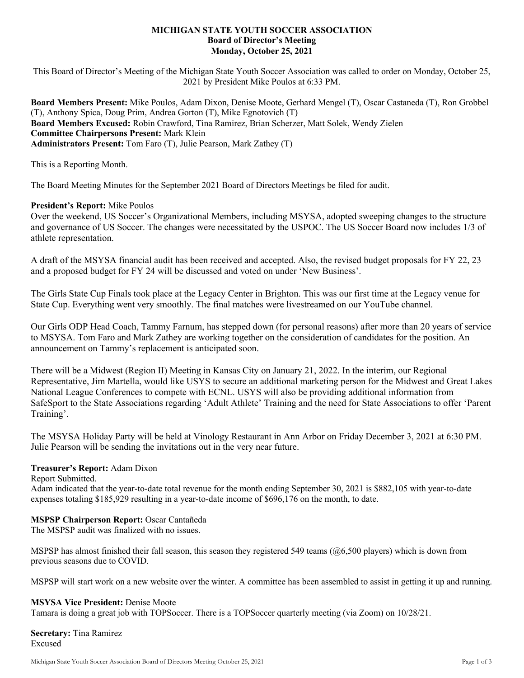# **MICHIGAN STATE YOUTH SOCCER ASSOCIATION Board of Director's Meeting Monday, October 25, 2021**

This Board of Director's Meeting of the Michigan State Youth Soccer Association was called to order on Monday, October 25, 2021 by President Mike Poulos at 6:33 PM.

**Board Members Present:** Mike Poulos, Adam Dixon, Denise Moote, Gerhard Mengel (T), Oscar Castaneda (T), Ron Grobbel (T), Anthony Spica, Doug Prim, Andrea Gorton (T), Mike Egnotovich (T) **Board Members Excused:** Robin Crawford, Tina Ramirez, Brian Scherzer, Matt Solek, Wendy Zielen **Committee Chairpersons Present:** Mark Klein **Administrators Present:** Tom Faro (T), Julie Pearson, Mark Zathey (T)

This is a Reporting Month.

The Board Meeting Minutes for the September 2021 Board of Directors Meetings be filed for audit.

## **President's Report:** Mike Poulos

Over the weekend, US Soccer's Organizational Members, including MSYSA, adopted sweeping changes to the structure and governance of US Soccer. The changes were necessitated by the USPOC. The US Soccer Board now includes 1/3 of athlete representation.

A draft of the MSYSA financial audit has been received and accepted. Also, the revised budget proposals for FY 22, 23 and a proposed budget for FY 24 will be discussed and voted on under 'New Business'.

The Girls State Cup Finals took place at the Legacy Center in Brighton. This was our first time at the Legacy venue for State Cup. Everything went very smoothly. The final matches were livestreamed on our YouTube channel.

Our Girls ODP Head Coach, Tammy Farnum, has stepped down (for personal reasons) after more than 20 years of service to MSYSA. Tom Faro and Mark Zathey are working together on the consideration of candidates for the position. An announcement on Tammy's replacement is anticipated soon.

There will be a Midwest (Region II) Meeting in Kansas City on January 21, 2022. In the interim, our Regional Representative, Jim Martella, would like USYS to secure an additional marketing person for the Midwest and Great Lakes National League Conferences to compete with ECNL. USYS will also be providing additional information from SafeSport to the State Associations regarding 'Adult Athlete' Training and the need for State Associations to offer 'Parent Training'.

The MSYSA Holiday Party will be held at Vinology Restaurant in Ann Arbor on Friday December 3, 2021 at 6:30 PM. Julie Pearson will be sending the invitations out in the very near future.

## **Treasurer's Report:** Adam Dixon

Report Submitted.

Adam indicated that the year-to-date total revenue for the month ending September 30, 2021 is \$882,105 with year-to-date expenses totaling \$185,929 resulting in a year-to-date income of \$696,176 on the month, to date.

## **MSPSP Chairperson Report:** Oscar Cantañeda

The MSPSP audit was finalized with no issues.

MSPSP has almost finished their fall season, this season they registered 549 teams ( $@6,500$  players) which is down from previous seasons due to COVID.

MSPSP will start work on a new website over the winter. A committee has been assembled to assist in getting it up and running.

# **MSYSA Vice President:** Denise Moote

Tamara is doing a great job with TOPSoccer. There is a TOPSoccer quarterly meeting (via Zoom) on 10/28/21.

**Secretary:** Tina Ramirez Excused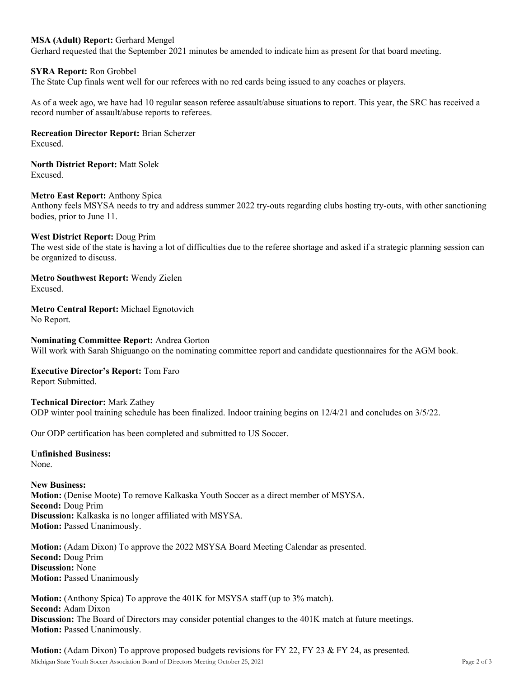# **MSA (Adult) Report:** Gerhard Mengel

Gerhard requested that the September 2021 minutes be amended to indicate him as present for that board meeting.

#### **SYRA Report:** Ron Grobbel

The State Cup finals went well for our referees with no red cards being issued to any coaches or players.

As of a week ago, we have had 10 regular season referee assault/abuse situations to report. This year, the SRC has received a record number of assault/abuse reports to referees.

**Recreation Director Report:** Brian Scherzer

Excused.

**North District Report:** Matt Solek Excused.

**Metro East Report:** Anthony Spica

Anthony feels MSYSA needs to try and address summer 2022 try-outs regarding clubs hosting try-outs, with other sanctioning bodies, prior to June 11.

#### **West District Report:** Doug Prim

The west side of the state is having a lot of difficulties due to the referee shortage and asked if a strategic planning session can be organized to discuss.

**Metro Southwest Report:** Wendy Zielen Excused.

**Metro Central Report:** Michael Egnotovich No Report.

**Nominating Committee Report:** Andrea Gorton Will work with Sarah Shiguango on the nominating committee report and candidate questionnaires for the AGM book.

# **Executive Director's Report:** Tom Faro

Report Submitted.

**Technical Director:** Mark Zathey ODP winter pool training schedule has been finalized. Indoor training begins on 12/4/21 and concludes on 3/5/22.

Our ODP certification has been completed and submitted to US Soccer.

## **Unfinished Business:**

None.

# **New Business: Motion:** (Denise Moote) To remove Kalkaska Youth Soccer as a direct member of MSYSA. **Second:** Doug Prim **Discussion:** Kalkaska is no longer affiliated with MSYSA. **Motion:** Passed Unanimously.

**Motion:** (Adam Dixon) To approve the 2022 MSYSA Board Meeting Calendar as presented. **Second:** Doug Prim **Discussion:** None **Motion:** Passed Unanimously

**Motion:** (Anthony Spica) To approve the 401K for MSYSA staff (up to 3% match). **Second:** Adam Dixon **Discussion:** The Board of Directors may consider potential changes to the 401K match at future meetings. **Motion: Passed Unanimously.** 

Michigan State Youth Soccer Association Board of Directors Meeting October 25, 2021 Page 2 of 3 **Motion:** (Adam Dixon) To approve proposed budgets revisions for FY 22, FY 23 & FY 24, as presented.